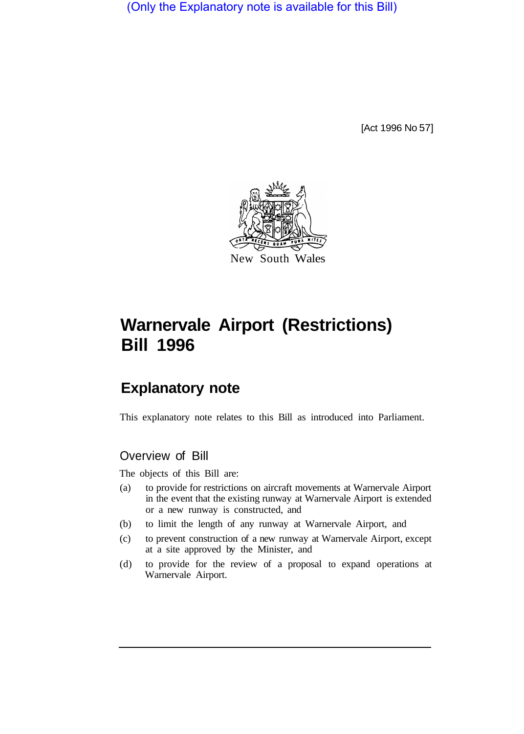(Only the Explanatory note is available for this Bill)

[Act 1996 No 57]



# **Warnervale Airport (Restrictions) Bill 1996**

## **Explanatory note**

This explanatory note relates to this Bill as introduced into Parliament.

#### Overview of Bill

The objects of this Bill are:

- (a) to provide for restrictions on aircraft movements at Warnervale Airport in the event that the existing runway at Warnervale Airport is extended or a new runway is constructed, and
- (b) to limit the length of any runway at Warnervale Airport, and
- (c) to prevent construction of a new runway at Warnervale Airport, except at a site approved by the Minister, and
- (d) to provide for the review of a proposal to expand operations at Warnervale Airport.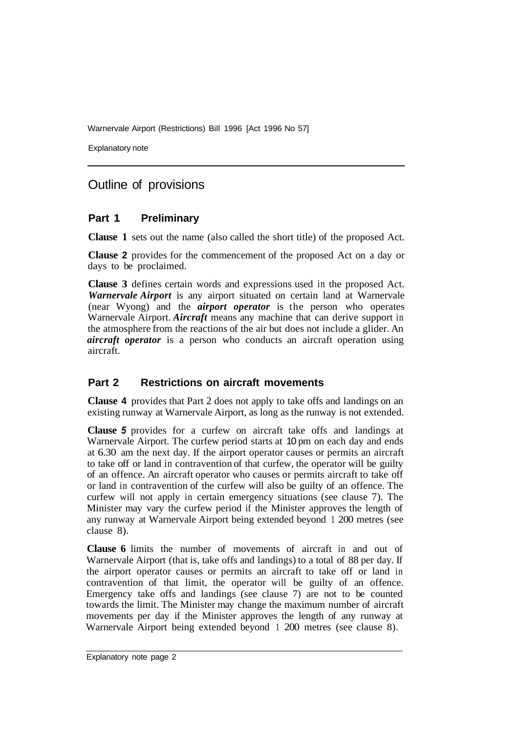Warnervale Airport (Restrictions) Bill 1996 [Act 1996 No 57]

Explanatory note

### Outline of provisions

#### **Part 1 Preliminary**

**Clause 1** sets out the name (also called the short title) of the proposed Act.

**Clause 2** provides for the commencement of the proposed Act on a day or days to be proclaimed.

**Clause 3** defines certain words and expressions used in the proposed Act. *Warnervale Airport* is any airport situated on certain land at Warnervale (near Wyong) and the *airport operator* is the person who operates Warnervale Airport. *Aircraft* means any machine that can derive support in the atmosphere from the reactions of the air but does not include a glider. An *aircraft operator* is a person who conducts an aircraft operation using aircraft.

#### **Part 2 Restrictions on aircraft movements**

**Clause 4** provides that Part 2 does not apply to take offs and landings on an existing runway at Warnervale Airport, as long as the runway is not extended.

**Clause** *5* provides for a curfew on aircraft take offs and landings at Warnervale Airport. The curfew period starts at 10 pm on each day and ends at 6.30 am the next day. If the airport operator causes or permits an aircraft to take off or land in contravention of that curfew, the operator will be guilty of an offence. An aircraft operator who causes or permits aircraft to take off or land in contravention of the curfew will also be guilty of an offence. The curfew will not apply in certain emergency situations (see clause 7). The Minister may vary the curfew period if the Minister approves the length of any runway at Warnervale Airport being extended beyond 1 200 metres (see clause 8).

**Clause 6** limits the number of movements of aircraft in and out of Warnervale Airport (that is, take offs and landings) to a total of 88 per day. If the airport operator causes or permits an aircraft to take off or land in contravention of that limit, the operator will be guilty of an offence. Emergency take offs and landings (see clause 7) are not to be counted towards the limit. The Minister may change the maximum number of aircraft movements per day if the Minister approves the length of any runway at Warnervale Airport being extended beyond 1 200 metres (see clause 8).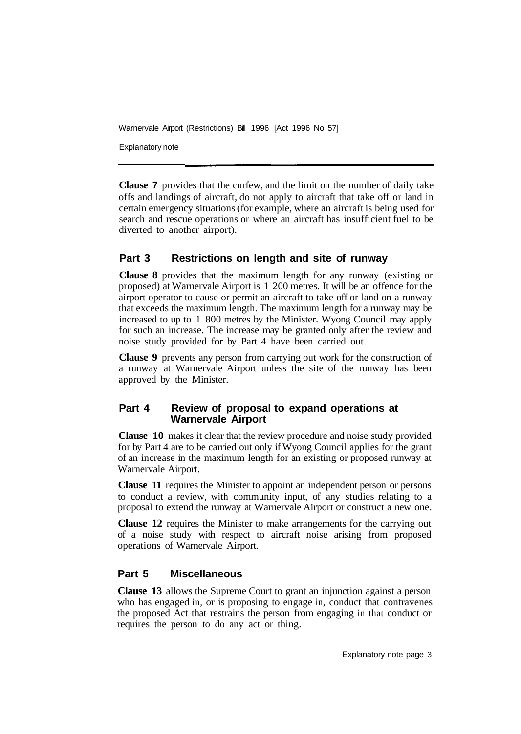Warnervale Airport (Restrictions) Bill 1996 [Act 1996 No 57]

Explanatory note

**Clause 7** provides that the curfew, and the limit on the number of daily take offs and landings of aircraft, do not apply to aircraft that take off or land in certain emergency situations (for example, where an aircraft is being used for search and rescue operations or where an aircraft has insufficient fuel to be diverted to another airport).

#### **Part 3 Restrictions on length and site of runway**

**Clause 8** provides that the maximum length for any runway (existing or proposed) at Warnervale Airport is 1 200 metres. It will be an offence for the airport operator to cause or permit an aircraft to take off or land on a runway that exceeds the maximum length. The maximum length for a runway may be increased to up to 1 800 metres by the Minister. Wyong Council may apply for such an increase. The increase may be granted only after the review and noise study provided for by Part 4 have been carried out.

**Clause 9** prevents any person from carrying out work for the construction of a runway at Warnervale Airport unless the site of the runway has been approved by the Minister.

#### **Part 4 Review of proposal to expand operations at Warnervale Airport**

**Clause 10** makes it clear that the review procedure and noise study provided for by Part 4 are to be carried out only if Wyong Council applies for the grant of an increase in the maximum length for an existing or proposed runway at Warnervale Airport.

**Clause 11** requires the Minister to appoint an independent person or persons to conduct a review, with community input, of any studies relating to a proposal to extend the runway at Warnervale Airport or construct a new one.

**Clause 12** requires the Minister to make arrangements for the carrying out of a noise study with respect to aircraft noise arising from proposed operations of Warnervale Airport.

#### **Part 5 Miscellaneous**

**Clause 13** allows the Supreme Court to grant an injunction against a person who has engaged in, or is proposing to engage in, conduct that contravenes the proposed Act that restrains the person from engaging in that conduct or requires the person to do any act or thing.